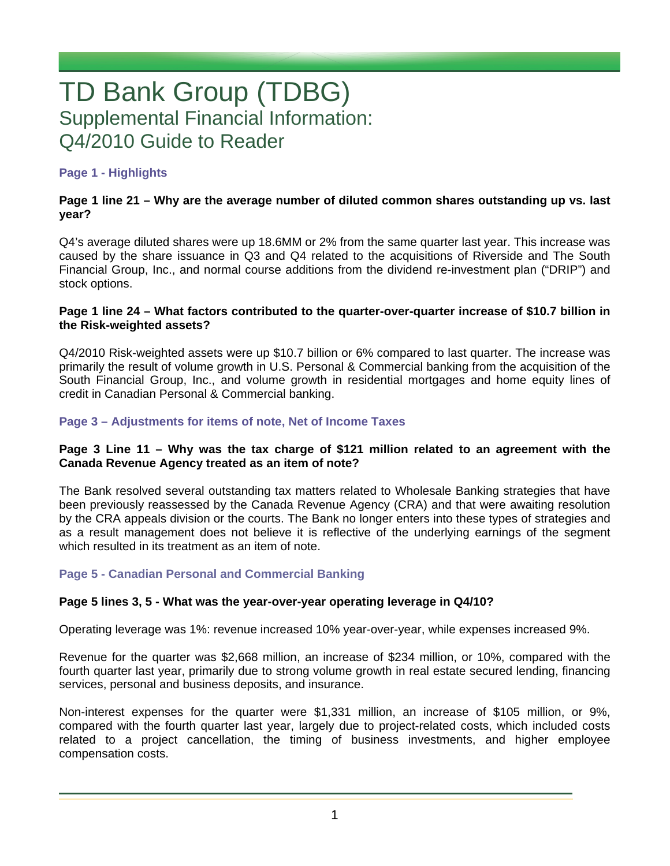# TD Bank Group (TDBG) Supplemental Financial Information: Q4/2010 Guide to Reader

# **Page 1 - Highlights**

## **Page 1 line 21 – Why are the average number of diluted common shares outstanding up vs. last year?**

Q4's average diluted shares were up 18.6MM or 2% from the same quarter last year. This increase was caused by the share issuance in Q3 and Q4 related to the acquisitions of Riverside and The South Financial Group, Inc., and normal course additions from the dividend re-investment plan ("DRIP") and stock options.

#### **Page 1 line 24 – What factors contributed to the quarter-over-quarter increase of \$10.7 billion in the Risk-weighted assets?**

Q4/2010 Risk-weighted assets were up \$10.7 billion or 6% compared to last quarter. The increase was primarily the result of volume growth in U.S. Personal & Commercial banking from the acquisition of the South Financial Group, Inc., and volume growth in residential mortgages and home equity lines of credit in Canadian Personal & Commercial banking.

# **Page 3 – Adjustments for items of note, Net of Income Taxes**

## **Page 3 Line 11 – Why was the tax charge of \$121 million related to an agreement with the Canada Revenue Agency treated as an item of note?**

The Bank resolved several outstanding tax matters related to Wholesale Banking strategies that have been previously reassessed by the Canada Revenue Agency (CRA) and that were awaiting resolution by the CRA appeals division or the courts. The Bank no longer enters into these types of strategies and as a result management does not believe it is reflective of the underlying earnings of the segment which resulted in its treatment as an item of note.

## **Page 5 - Canadian Personal and Commercial Banking**

## **Page 5 lines 3, 5 - What was the year-over-year operating leverage in Q4/10?**

Operating leverage was 1%: revenue increased 10% year-over-year, while expenses increased 9%.

Revenue for the quarter was \$2,668 million, an increase of \$234 million, or 10%, compared with the fourth quarter last year, primarily due to strong volume growth in real estate secured lending, financing services, personal and business deposits, and insurance.

Non-interest expenses for the quarter were \$1,331 million, an increase of \$105 million, or 9%, compared with the fourth quarter last year, largely due to project-related costs, which included costs related to a project cancellation, the timing of business investments, and higher employee compensation costs.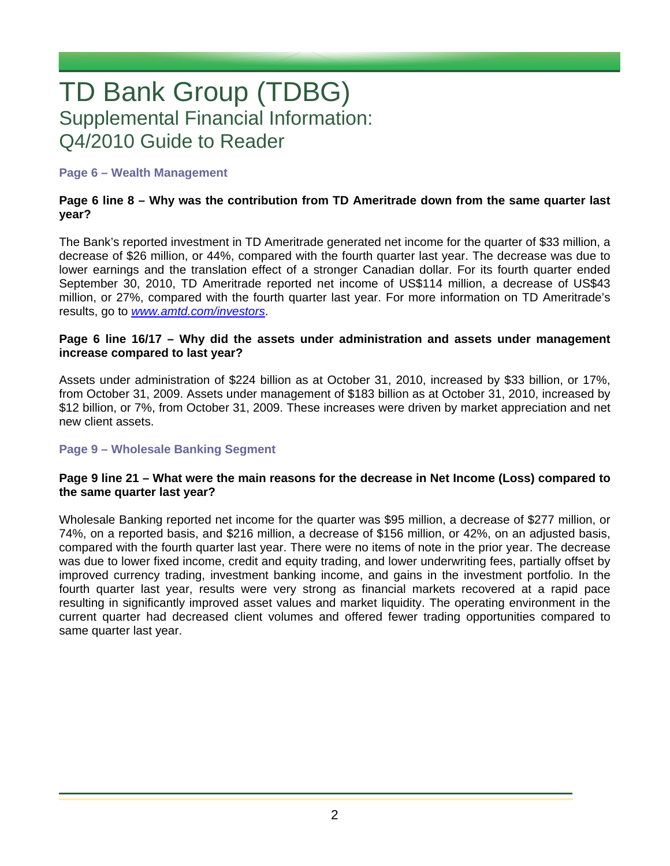# TD Bank Group (TDBG) Supplemental Financial Information: Q4/2010 Guide to Reader

## **Page 6 – Wealth Management**

## **Page 6 line 8 – Why was the contribution from TD Ameritrade down from the same quarter last year?**

The Bank's reported investment in TD Ameritrade generated net income for the quarter of \$33 million, a decrease of \$26 million, or 44%, compared with the fourth quarter last year. The decrease was due to lower earnings and the translation effect of a stronger Canadian dollar. For its fourth quarter ended September 30, 2010, TD Ameritrade reported net income of US\$114 million, a decrease of US\$43 million, or 27%, compared with the fourth quarter last year. For more information on TD Ameritrade's results, go to *www.amtd.com/investors*.

#### **Page 6 line 16/17 – Why did the assets under administration and assets under management increase compared to last year?**

Assets under administration of \$224 billion as at October 31, 2010, increased by \$33 billion, or 17%, from October 31, 2009. Assets under management of \$183 billion as at October 31, 2010, increased by \$12 billion, or 7%, from October 31, 2009. These increases were driven by market appreciation and net new client assets.

## **Page 9 – Wholesale Banking Segment**

## **Page 9 line 21 – What were the main reasons for the decrease in Net Income (Loss) compared to the same quarter last year?**

Wholesale Banking reported net income for the quarter was \$95 million, a decrease of \$277 million, or 74%, on a reported basis, and \$216 million, a decrease of \$156 million, or 42%, on an adjusted basis, compared with the fourth quarter last year. There were no items of note in the prior year. The decrease was due to lower fixed income, credit and equity trading, and lower underwriting fees, partially offset by improved currency trading, investment banking income, and gains in the investment portfolio. In the fourth quarter last year, results were very strong as financial markets recovered at a rapid pace resulting in significantly improved asset values and market liquidity. The operating environment in the current quarter had decreased client volumes and offered fewer trading opportunities compared to same quarter last year.